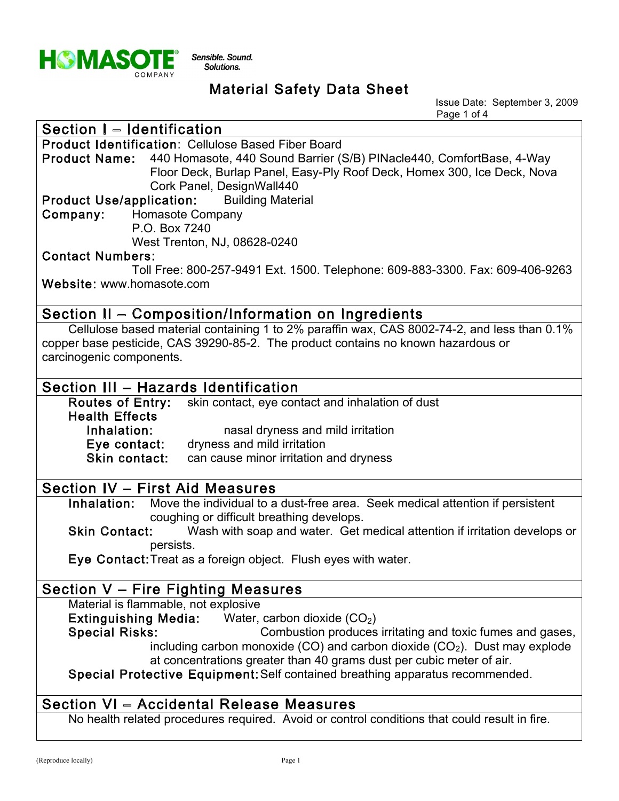

Issue Date: September 3, 2009 Page 1 of 4

| Section I - Identification                                                                                                                                                                                   |
|--------------------------------------------------------------------------------------------------------------------------------------------------------------------------------------------------------------|
| <b>Product Identification: Cellulose Based Fiber Board</b>                                                                                                                                                   |
| Product Name: 440 Homasote, 440 Sound Barrier (S/B) PINacle440, ComfortBase, 4-Way<br>Floor Deck, Burlap Panel, Easy-Ply Roof Deck, Homex 300, Ice Deck, Nova<br>Cork Panel, DesignWall440                   |
| <b>Product Use/application:</b> Building Material                                                                                                                                                            |
| Company: Homasote Company                                                                                                                                                                                    |
| P.O. Box 7240                                                                                                                                                                                                |
| West Trenton, NJ, 08628-0240                                                                                                                                                                                 |
| <b>Contact Numbers:</b>                                                                                                                                                                                      |
| Toll Free: 800-257-9491 Ext. 1500. Telephone: 609-883-3300. Fax: 609-406-9263                                                                                                                                |
| Website: www.homasote.com                                                                                                                                                                                    |
| Section II - Composition/Information on Ingredients                                                                                                                                                          |
| Cellulose based material containing 1 to 2% paraffin wax, CAS 8002-74-2, and less than 0.1%<br>copper base pesticide, CAS 39290-85-2. The product contains no known hazardous or<br>carcinogenic components. |
| Section III - Hazards Identification                                                                                                                                                                         |
| <b>Routes of Entry:</b><br>skin contact, eye contact and inhalation of dust                                                                                                                                  |
| <b>Health Effects</b>                                                                                                                                                                                        |
| Inhalation:<br>nasal dryness and mild irritation                                                                                                                                                             |
| Eye contact: dryness and mild irritation                                                                                                                                                                     |
| Skin contact:<br>can cause minor irritation and dryness                                                                                                                                                      |
|                                                                                                                                                                                                              |
| <b>Section IV - First Aid Measures</b>                                                                                                                                                                       |
| Move the individual to a dust-free area. Seek medical attention if persistent<br>Inhalation:                                                                                                                 |
| coughing or difficult breathing develops.                                                                                                                                                                    |
| <b>Skin Contact:</b><br>Wash with soap and water. Get medical attention if irritation develops or                                                                                                            |
| persists.                                                                                                                                                                                                    |
| Eye Contact: Treat as a foreign object. Flush eyes with water.                                                                                                                                               |
| Section V - Fire Fighting Measures                                                                                                                                                                           |
| Material is flammable, not explosive                                                                                                                                                                         |
| Extinguishing Media: Water, carbon dioxide $(CO2)$                                                                                                                                                           |
| <b>Special Risks:</b><br>Combustion produces irritating and toxic fumes and gases,                                                                                                                           |
| including carbon monoxide (CO) and carbon dioxide $(CO2)$ . Dust may explode                                                                                                                                 |
| at concentrations greater than 40 grams dust per cubic meter of air.                                                                                                                                         |
| Special Protective Equipment: Self contained breathing apparatus recommended.                                                                                                                                |
| Section VI - Accidental Release Measures                                                                                                                                                                     |
| No health related procedures required. Avoid or control conditions that could result in fire.                                                                                                                |
|                                                                                                                                                                                                              |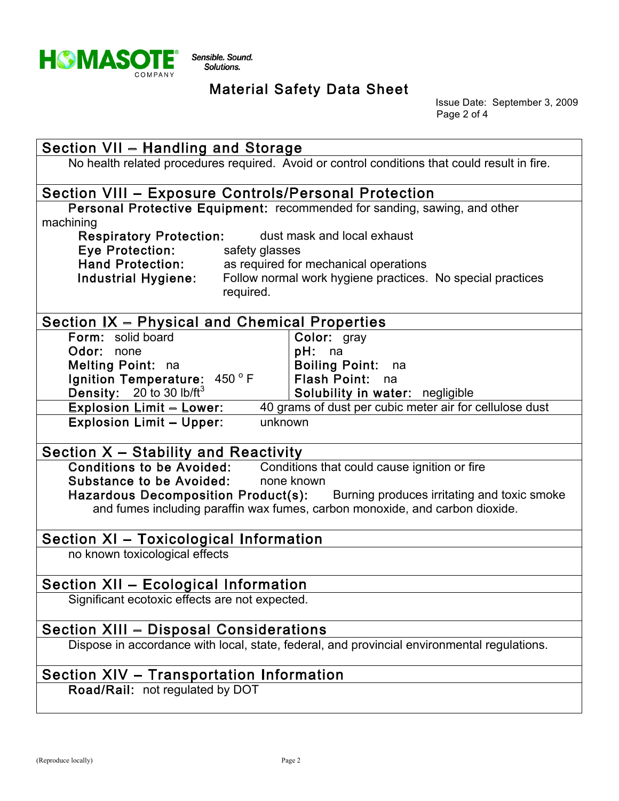

Issue Date: September 3, 2009 Page 2 of 4

| Section VII - Handling and Storage                                                                                            |  |  |  |
|-------------------------------------------------------------------------------------------------------------------------------|--|--|--|
| No health related procedures required. Avoid or control conditions that could result in fire.                                 |  |  |  |
|                                                                                                                               |  |  |  |
| Section VIII - Exposure Controls/Personal Protection                                                                          |  |  |  |
| Personal Protective Equipment: recommended for sanding, sawing, and other                                                     |  |  |  |
| machining                                                                                                                     |  |  |  |
| <b>Respiratory Protection:</b><br>dust mask and local exhaust<br><b>Eye Protection:</b><br>safety glasses                     |  |  |  |
| Hand Protection:<br>as required for mechanical operations                                                                     |  |  |  |
| Industrial Hygiene:<br>Follow normal work hygiene practices. No special practices                                             |  |  |  |
| required.                                                                                                                     |  |  |  |
|                                                                                                                               |  |  |  |
| Section IX - Physical and Chemical Properties                                                                                 |  |  |  |
| Form: solid board<br>Color: gray                                                                                              |  |  |  |
| $pH:$ na<br>Odor:<br>none                                                                                                     |  |  |  |
| Boiling Point: na<br>Melting Point: na                                                                                        |  |  |  |
| Ignition Temperature: 450°F<br>Flash Point: na<br>Density: $20$ to 30 lb/ft <sup>3</sup>                                      |  |  |  |
| Solubility in water: negligible<br>40 grams of dust per cubic meter air for cellulose dust<br><b>Explosion Limit - Lower:</b> |  |  |  |
| <b>Explosion Limit - Upper:</b><br>unknown                                                                                    |  |  |  |
|                                                                                                                               |  |  |  |
| Section X - Stability and Reactivity                                                                                          |  |  |  |
| Conditions to be Avoided: Conditions that could cause ignition or fire                                                        |  |  |  |
| Substance to be Avoided: none known                                                                                           |  |  |  |
| Hazardous Decomposition Product(s): Burning produces irritating and toxic smoke                                               |  |  |  |
| and fumes including paraffin wax fumes, carbon monoxide, and carbon dioxide.                                                  |  |  |  |
| Section XI - Toxicological Information                                                                                        |  |  |  |
| no known toxicological effects                                                                                                |  |  |  |
|                                                                                                                               |  |  |  |
| <b>Section XII - Ecological Information</b>                                                                                   |  |  |  |
| Significant ecotoxic effects are not expected.                                                                                |  |  |  |
|                                                                                                                               |  |  |  |
| <b>Section XIII - Disposal Considerations</b>                                                                                 |  |  |  |
| Dispose in accordance with local, state, federal, and provincial environmental regulations.                                   |  |  |  |
| Section XIV - Transportation Information                                                                                      |  |  |  |
| Road/Rail: not regulated by DOT                                                                                               |  |  |  |
|                                                                                                                               |  |  |  |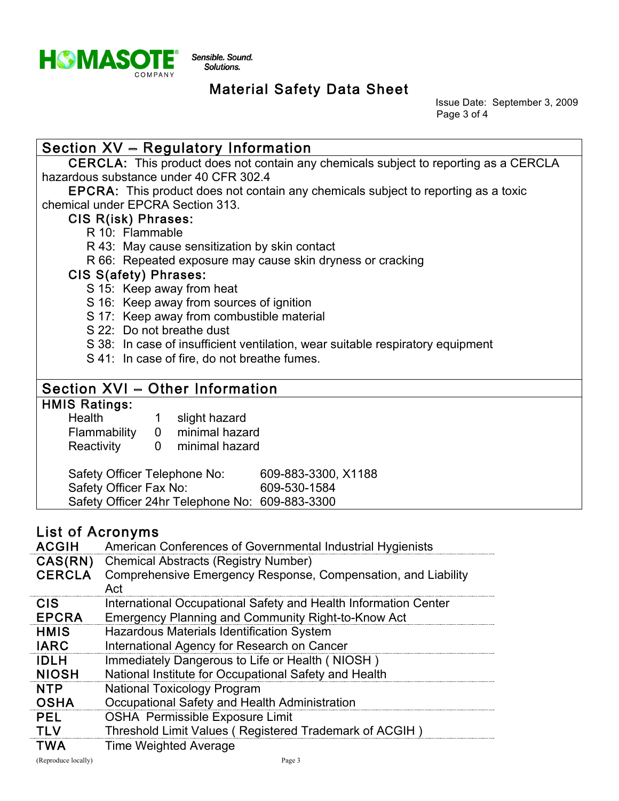

Issue Date: September 3, 2009 Page 3 of 4

### Section  $XV$  – Regulatory Information

 CERCLA: This product does not contain any chemicals subject to reporting as a CERCLA hazardous substance under 40 CFR 302.4

 EPCRA: This product does not contain any chemicals subject to reporting as a toxic chemical under EPCRA Section 313.

### CIS R(isk) Phrases:

- R 10: Flammable
- R 43: May cause sensitization by skin contact
- R 66: Repeated exposure may cause skin dryness or cracking

#### CIS S(afety) Phrases:

- S 15: Keep away from heat
- S 16: Keep away from sources of ignition
- S 17: Keep away from combustible material
- S 22: Do not breathe dust
- S 38: In case of insufficient ventilation, wear suitable respiratory equipment
- S 41: In case of fire, do not breathe fumes.

### Section XVI - Other Information

#### HMIS Ratings: Health

|  | slight hazard |
|--|---------------|
|  |               |
|  |               |

 Flammability 0 minimal hazard Reactivity 0 minimal hazard

| Safety Officer Telephone No:                   | 609-883-3300, X1188 |
|------------------------------------------------|---------------------|
| Safety Officer Fax No:                         | 609-530-1584        |
| Safety Officer 24hr Telephone No: 609-883-3300 |                     |

### List of Acronyms

| <b>ACGIH</b>             | American Conferences of Governmental Industrial Hygienists                                                          |
|--------------------------|---------------------------------------------------------------------------------------------------------------------|
| CAS(RN)<br><b>CERCLA</b> | <b>Chemical Abstracts (Registry Number)</b><br>Comprehensive Emergency Response, Compensation, and Liability<br>Act |
| <b>CIS</b>               | International Occupational Safety and Health Information Center                                                     |
| <b>EPCRA</b>             | <b>Emergency Planning and Community Right-to-Know Act</b>                                                           |
| <b>HMIS</b>              | Hazardous Materials Identification System                                                                           |
| <b>IARC</b>              | International Agency for Research on Cancer                                                                         |
| <b>IDLH</b>              | Immediately Dangerous to Life or Health (NIOSH)                                                                     |
| <b>NIOSH</b>             | National Institute for Occupational Safety and Health                                                               |
| <b>NTP</b>               | <b>National Toxicology Program</b>                                                                                  |
| <b>OSHA</b>              | Occupational Safety and Health Administration                                                                       |
| <b>PEL</b>               | <b>OSHA Permissible Exposure Limit</b>                                                                              |
| <b>TLV</b>               | Threshold Limit Values (Registered Trademark of ACGIH)                                                              |
| <b>TWA</b>               | <b>Time Weighted Average</b>                                                                                        |